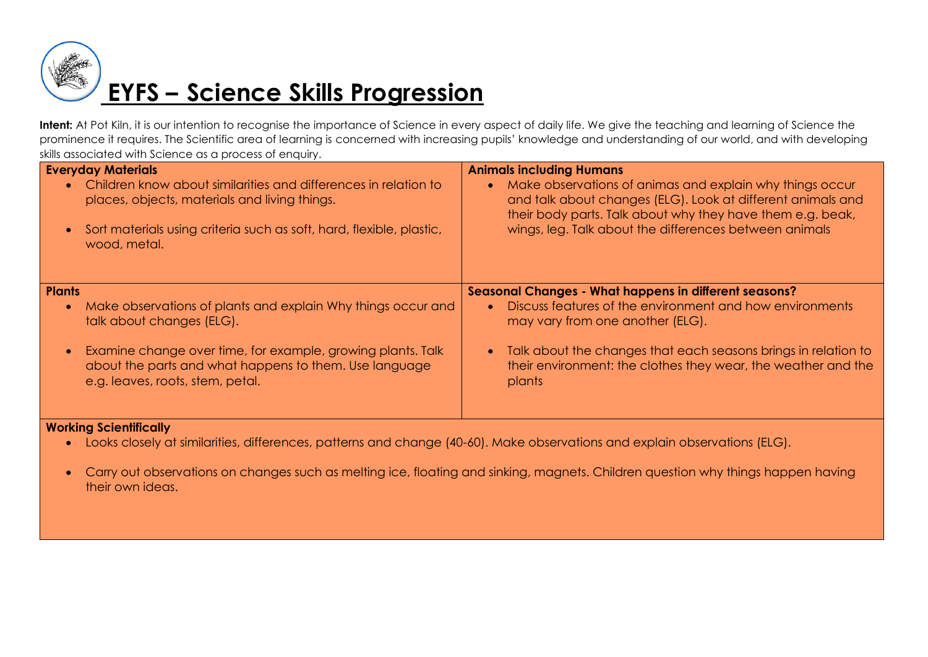

# **EYFS – Science Skills Progression**

Intent: At Pot Kiln, it is our intention to recognise the importance of Science in every aspect of daily life. We give the teaching and learning of Science the prominence it requires. The Scientific area of learning is concerned with increasing pupils' knowledge and understanding of our world, and with developing skills associated with Science as a process of enquiry.

| <b>Everyday Materials</b><br>Children know about similarities and differences in relation to<br>$\bullet$<br>places, objects, materials and living things.<br>Sort materials using criteria such as soft, hard, flexible, plastic,<br>$\bullet$<br>wood, metal. | <b>Animals including Humans</b><br>Make observations of animas and explain why things occur<br>and talk about changes (ELG). Look at different animals and<br>their body parts. Talk about why they have them e.g. beak,<br>wings, leg. Talk about the differences between animals |
|-----------------------------------------------------------------------------------------------------------------------------------------------------------------------------------------------------------------------------------------------------------------|------------------------------------------------------------------------------------------------------------------------------------------------------------------------------------------------------------------------------------------------------------------------------------|
| Plants                                                                                                                                                                                                                                                          | Seasonal Changes - What happens in different seasons?                                                                                                                                                                                                                              |
| Make observations of plants and explain Why things occur and<br>$\bullet$<br>talk about changes (ELG).                                                                                                                                                          | Discuss features of the environment and how environments<br>may vary from one another (ELG).                                                                                                                                                                                       |
| Examine change over time, for example, growing plants. Talk<br>$\bullet$<br>about the parts and what happens to them. Use language<br>e.g. leaves, roots, stem, petal.                                                                                          | Talk about the changes that each seasons brings in relation to<br>their environment: the clothes they wear, the weather and the<br>plants                                                                                                                                          |
| $\mathbf{M}$ and the set $\mathbf{A} = \mathbf{A}$ and $\mathbf{M} = \mathbf{M}$ . The set of $\mathbf{M}$                                                                                                                                                      |                                                                                                                                                                                                                                                                                    |

#### **Working Scientifically**

Looks closely at similarities, differences, patterns and change (40-60). Make observations and explain observations (ELG).

 Carry out observations on changes such as melting ice, floating and sinking, magnets. Children question why things happen having their own ideas.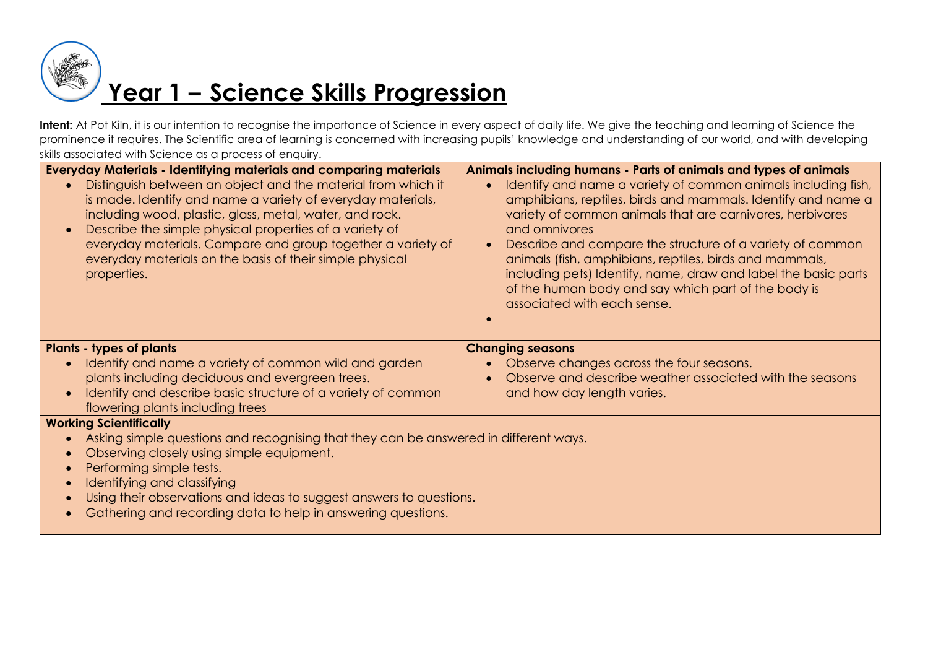

Intent: At Pot Kiln, it is our intention to recognise the importance of Science in every aspect of daily life. We give the teaching and learning of Science the prominence it requires. The Scientific area of learning is concerned with increasing pupils' knowledge and understanding of our world, and with developing skills associated with Science as a process of enquiry.

| <b>Everyday Materials - Identifying materials and comparing materials</b><br>Distinguish between an object and the material from which it<br>$\bullet$<br>is made. Identify and name a variety of everyday materials,<br>including wood, plastic, glass, metal, water, and rock.<br>Describe the simple physical properties of a variety of<br>$\bullet$<br>everyday materials. Compare and group together a variety of<br>everyday materials on the basis of their simple physical<br>properties. | Animals including humans - Parts of animals and types of animals<br>Identify and name a variety of common animals including fish,<br>amphibians, reptiles, birds and mammals. Identify and name a<br>variety of common animals that are carnivores, herbivores<br>and omnivores<br>Describe and compare the structure of a variety of common<br>animals (fish, amphibians, reptiles, birds and mammals,<br>including pets) Identify, name, draw and label the basic parts<br>of the human body and say which part of the body is<br>associated with each sense. |  |
|----------------------------------------------------------------------------------------------------------------------------------------------------------------------------------------------------------------------------------------------------------------------------------------------------------------------------------------------------------------------------------------------------------------------------------------------------------------------------------------------------|-----------------------------------------------------------------------------------------------------------------------------------------------------------------------------------------------------------------------------------------------------------------------------------------------------------------------------------------------------------------------------------------------------------------------------------------------------------------------------------------------------------------------------------------------------------------|--|
| <b>Plants - types of plants</b>                                                                                                                                                                                                                                                                                                                                                                                                                                                                    | <b>Changing seasons</b>                                                                                                                                                                                                                                                                                                                                                                                                                                                                                                                                         |  |
| Identify and name a variety of common wild and garden                                                                                                                                                                                                                                                                                                                                                                                                                                              | Observe changes across the four seasons.                                                                                                                                                                                                                                                                                                                                                                                                                                                                                                                        |  |
| plants including deciduous and evergreen trees.                                                                                                                                                                                                                                                                                                                                                                                                                                                    | Observe and describe weather associated with the seasons                                                                                                                                                                                                                                                                                                                                                                                                                                                                                                        |  |
| Identify and describe basic structure of a variety of common                                                                                                                                                                                                                                                                                                                                                                                                                                       | and how day length varies.                                                                                                                                                                                                                                                                                                                                                                                                                                                                                                                                      |  |
| flowering plants including trees                                                                                                                                                                                                                                                                                                                                                                                                                                                                   |                                                                                                                                                                                                                                                                                                                                                                                                                                                                                                                                                                 |  |
| <b>Working Scientifically</b>                                                                                                                                                                                                                                                                                                                                                                                                                                                                      |                                                                                                                                                                                                                                                                                                                                                                                                                                                                                                                                                                 |  |
| Asking simple questions and recognising that they can be answered in different ways.                                                                                                                                                                                                                                                                                                                                                                                                               |                                                                                                                                                                                                                                                                                                                                                                                                                                                                                                                                                                 |  |
| Observing closely using simple equipment.                                                                                                                                                                                                                                                                                                                                                                                                                                                          |                                                                                                                                                                                                                                                                                                                                                                                                                                                                                                                                                                 |  |
| Performing simple tests.<br>$\bullet$<br>Identifying and classifying<br>$\bullet$                                                                                                                                                                                                                                                                                                                                                                                                                  |                                                                                                                                                                                                                                                                                                                                                                                                                                                                                                                                                                 |  |
| Using their observations and ideas to suggest answers to questions.<br>$\bullet$                                                                                                                                                                                                                                                                                                                                                                                                                   |                                                                                                                                                                                                                                                                                                                                                                                                                                                                                                                                                                 |  |
| Gathering and recording data to help in answering questions.                                                                                                                                                                                                                                                                                                                                                                                                                                       |                                                                                                                                                                                                                                                                                                                                                                                                                                                                                                                                                                 |  |
|                                                                                                                                                                                                                                                                                                                                                                                                                                                                                                    |                                                                                                                                                                                                                                                                                                                                                                                                                                                                                                                                                                 |  |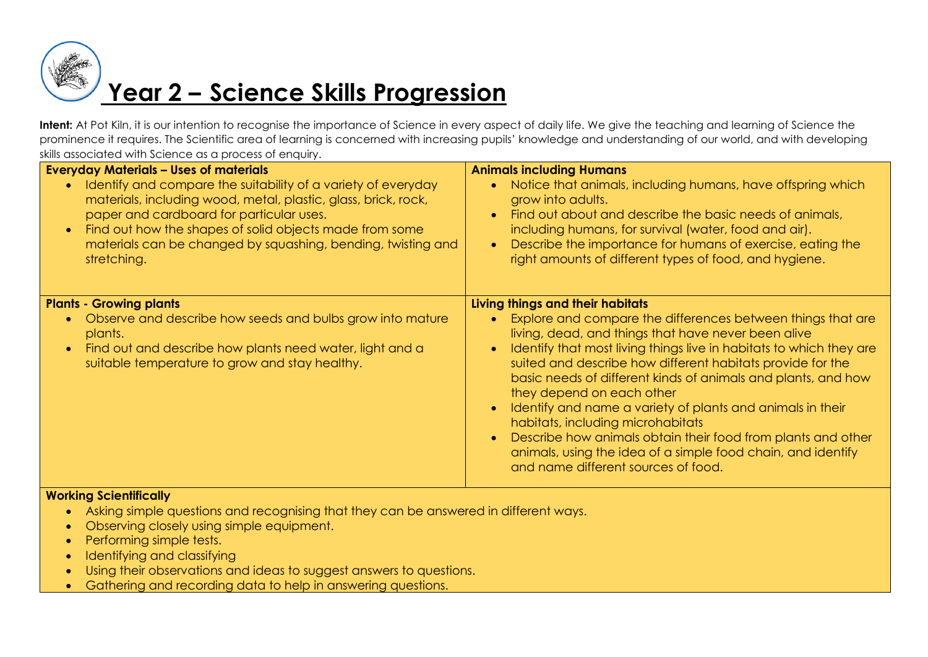

# **Year 2 – Science Skills Progression**

Intent: At Pot Kiln, it is our intention to recognise the importance of Science in every aspect of daily life. We give the teaching and learning of Science the prominence it requires. The Scientific area of learning is concerned with increasing pupils' knowledge and understanding of our world, and with developing skills associated with Science as a process of enquiry.

| <b>Everyday Materials - Uses of materials</b><br>Identify and compare the suitability of a variety of everyday<br>$\bullet$<br>materials, including wood, metal, plastic, glass, brick, rock,<br>paper and cardboard for particular uses.<br>Find out how the shapes of solid objects made from some<br>$\bullet$<br>materials can be changed by squashing, bending, twisting and<br>stretching. | <b>Animals including Humans</b><br>Notice that animals, including humans, have offspring which<br>grow into adults.<br>Find out about and describe the basic needs of animals,<br>$\bullet$<br>including humans, for survival (water, food and air).<br>Describe the importance for humans of exercise, eating the<br>right amounts of different types of food, and hygiene.                                                                                                                                                                                                                                                                                        |
|--------------------------------------------------------------------------------------------------------------------------------------------------------------------------------------------------------------------------------------------------------------------------------------------------------------------------------------------------------------------------------------------------|---------------------------------------------------------------------------------------------------------------------------------------------------------------------------------------------------------------------------------------------------------------------------------------------------------------------------------------------------------------------------------------------------------------------------------------------------------------------------------------------------------------------------------------------------------------------------------------------------------------------------------------------------------------------|
| <b>Plants - Growing plants</b><br>Observe and describe how seeds and bulbs grow into mature<br>$\bullet$<br>plants.<br>Find out and describe how plants need water, light and a<br>$\bullet$<br>suitable temperature to grow and stay healthy.                                                                                                                                                   | Living things and their habitats<br>Explore and compare the differences between things that are<br>living, dead, and things that have never been alive<br>Identify that most living things live in habitats to which they are<br>suited and describe how different habitats provide for the<br>basic needs of different kinds of animals and plants, and how<br>they depend on each other<br>Identify and name a variety of plants and animals in their<br>habitats, including microhabitats<br>Describe how animals obtain their food from plants and other<br>animals, using the idea of a simple food chain, and identify<br>and name different sources of food. |

#### **Working Scientifically**

- Asking simple questions and recognising that they can be answered in different ways.
- Observing closely using simple equipment.
- Performing simple tests.
- Identifying and classifying
- Using their observations and ideas to suggest answers to questions.
- Gathering and recording data to help in answering questions.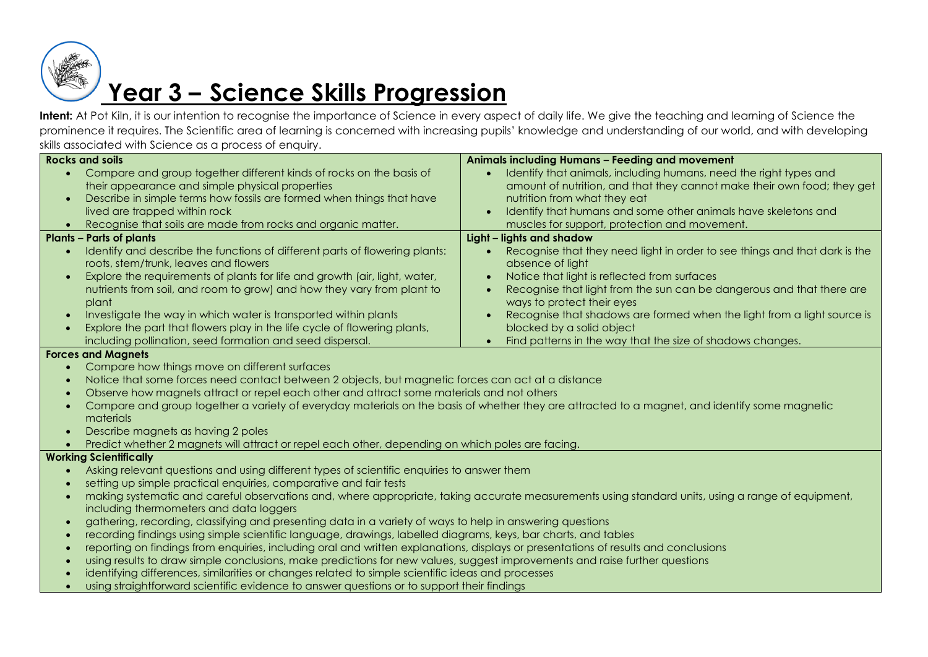

# **Year 3 – Science Skills Progression**

Intent: At Pot Kiln, it is our intention to recognise the importance of Science in every aspect of daily life. We give the teaching and learning of Science the prominence it requires. The Scientific area of learning is concerned with increasing pupils' knowledge and understanding of our world, and with developing skills associated with Science as a process of enquiry.

| <b>Rocks and soils</b>                                                                                                                                         | Animals including Humans - Feeding and movement                            |  |
|----------------------------------------------------------------------------------------------------------------------------------------------------------------|----------------------------------------------------------------------------|--|
| Compare and group together different kinds of rocks on the basis of<br>$\bullet$                                                                               | Identify that animals, including humans, need the right types and          |  |
| their appearance and simple physical properties                                                                                                                | amount of nutrition, and that they cannot make their own food; they get    |  |
| Describe in simple terms how fossils are formed when things that have                                                                                          | nutrition from what they eat                                               |  |
| lived are trapped within rock                                                                                                                                  | Identify that humans and some other animals have skeletons and             |  |
| Recognise that soils are made from rocks and organic matter.                                                                                                   | muscles for support, protection and movement.                              |  |
| <b>Plants - Parts of plants</b>                                                                                                                                | Light - lights and shadow                                                  |  |
| Identify and describe the functions of different parts of flowering plants:                                                                                    | Recognise that they need light in order to see things and that dark is the |  |
| roots, stem/trunk, leaves and flowers                                                                                                                          | absence of light                                                           |  |
| Explore the requirements of plants for life and growth (air, light, water,<br>$\bullet$                                                                        | Notice that light is reflected from surfaces                               |  |
| nutrients from soil, and room to grow) and how they vary from plant to                                                                                         | Recognise that light from the sun can be dangerous and that there are      |  |
| plant                                                                                                                                                          | ways to protect their eyes                                                 |  |
| Investigate the way in which water is transported within plants<br>$\bullet$                                                                                   | Recognise that shadows are formed when the light from a light source is    |  |
| Explore the part that flowers play in the life cycle of flowering plants,                                                                                      | blocked by a solid object                                                  |  |
| including pollination, seed formation and seed dispersal.                                                                                                      | Find patterns in the way that the size of shadows changes.                 |  |
| <b>Forces and Magnets</b>                                                                                                                                      |                                                                            |  |
| Compare how things move on different surfaces<br>$\bullet$                                                                                                     |                                                                            |  |
| Notice that some forces need contact between 2 objects, but magnetic forces can act at a distance<br>$\bullet$                                                 |                                                                            |  |
| Observe how magnets attract or repel each other and attract some materials and not others                                                                      |                                                                            |  |
| Compare and group together a variety of everyday materials on the basis of whether they are attracted to a magnet, and identify some magnetic                  |                                                                            |  |
| materials                                                                                                                                                      |                                                                            |  |
| Describe magnets as having 2 poles<br>$\bullet$                                                                                                                |                                                                            |  |
| Predict whether 2 magnets will attract or repel each other, depending on which poles are facing.<br>$\bullet$                                                  |                                                                            |  |
| <b>Working Scientifically</b>                                                                                                                                  |                                                                            |  |
| Asking relevant questions and using different types of scientific enquiries to answer them                                                                     |                                                                            |  |
| setting up simple practical enquiries, comparative and fair tests                                                                                              |                                                                            |  |
| making systematic and careful observations and, where appropriate, taking accurate measurements using standard units, using a range of equipment,<br>$\bullet$ |                                                                            |  |
| including thermometers and data loggers                                                                                                                        |                                                                            |  |
| gathering, recording, classifying and presenting data in a variety of ways to help in answering questions<br>$\bullet$                                         |                                                                            |  |
| recording findings using simple scientific language, drawings, labelled diagrams, keys, bar charts, and tables                                                 |                                                                            |  |
| reporting on findings from enquiries, including oral and written explanations, displays or presentations of results and conclusions                            |                                                                            |  |
| using results to draw simple conclusions, make predictions for new values, suggest improvements and raise further questions<br>$\bullet$                       |                                                                            |  |
| identifying differences, similarities or changes related to simple scientific ideas and processes                                                              |                                                                            |  |
| using straightforward scientific evidence to answer questions or to support their findings                                                                     |                                                                            |  |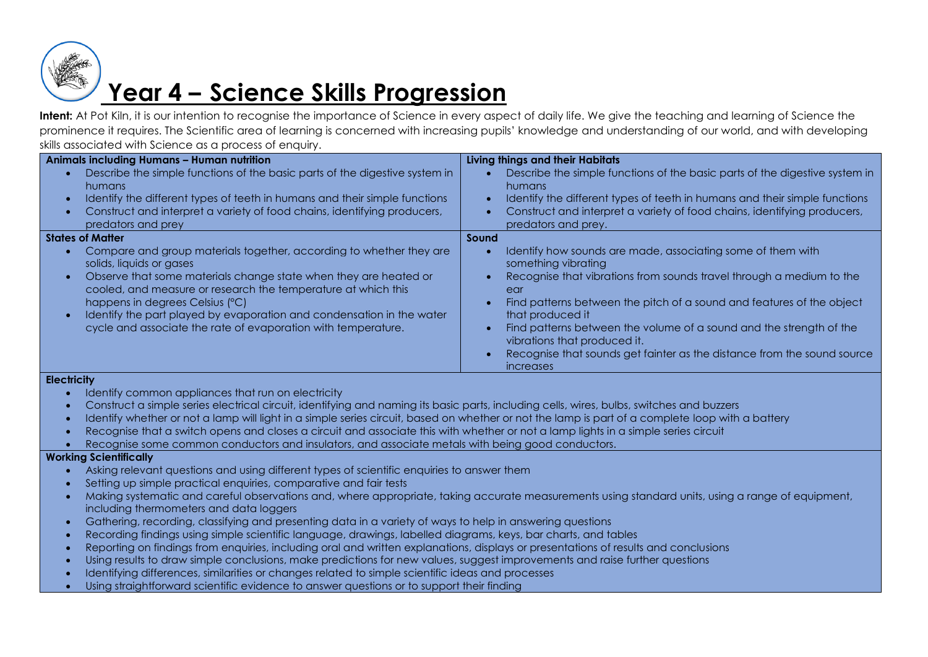

### **Year 4 – Science Skills Progression**

**Intent:** At Pot Kiln, it is our intention to recognise the importance of Science in every aspect of daily life. We give the teaching and learning of Science the prominence it requires. The Scientific area of learning is concerned with increasing pupils' knowledge and understanding of our world, and with developing skills associated with Science as a process of enquiry.

| <b>Animals including Humans - Human nutrition</b>                                                                                                                                                                                                                                                                                                                                                                                           | <b>Living things and their Habitats</b>                                                                                                                                                                                                                                                                                                                                                                                                                              |
|---------------------------------------------------------------------------------------------------------------------------------------------------------------------------------------------------------------------------------------------------------------------------------------------------------------------------------------------------------------------------------------------------------------------------------------------|----------------------------------------------------------------------------------------------------------------------------------------------------------------------------------------------------------------------------------------------------------------------------------------------------------------------------------------------------------------------------------------------------------------------------------------------------------------------|
| Describe the simple functions of the basic parts of the digestive system in<br>humans<br>Identify the different types of teeth in humans and their simple functions<br>$\bullet$<br>Construct and interpret a variety of food chains, identifying producers,<br>$\bullet$<br>predators and prey                                                                                                                                             | Describe the simple functions of the basic parts of the digestive system in<br>humans<br>Identify the different types of teeth in humans and their simple functions<br>Construct and interpret a variety of food chains, identifying producers,<br>predators and prey.                                                                                                                                                                                               |
| <b>States of Matter</b>                                                                                                                                                                                                                                                                                                                                                                                                                     | Sound                                                                                                                                                                                                                                                                                                                                                                                                                                                                |
| Compare and group materials together, according to whether they are<br>solids, liquids or gases<br>Observe that some materials change state when they are heated or<br>$\bullet$<br>cooled, and measure or research the temperature at which this<br>happens in degrees Celsius (°C)<br>Identify the part played by evaporation and condensation in the water<br>$\bullet$<br>cycle and associate the rate of evaporation with temperature. | Identify how sounds are made, associating some of them with<br>something vibrating<br>Recognise that vibrations from sounds travel through a medium to the<br>ear<br>Find patterns between the pitch of a sound and features of the object<br>that produced it<br>Find patterns between the volume of a sound and the strength of the<br>vibrations that produced it.<br>Recognise that sounds get fainter as the distance from the sound source<br><i>increases</i> |
| <b>Electricity</b>                                                                                                                                                                                                                                                                                                                                                                                                                          |                                                                                                                                                                                                                                                                                                                                                                                                                                                                      |

- Identify common appliances that run on electricity
- Construct a simple series electrical circuit, identifying and naming its basic parts, including cells, wires, bulbs, switches and buzzers
- Identify whether or not a lamp will light in a simple series circuit, based on whether or not the lamp is part of a complete loop with a battery
- Recognise that a switch opens and closes a circuit and associate this with whether or not a lamp lights in a simple series circuit
- Recognise some common conductors and insulators, and associate metals with being good conductors.

#### **Working Scientifically**

- Asking relevant questions and using different types of scientific enquiries to answer them
- Setting up simple practical enquiries, comparative and fair tests
- Making systematic and careful observations and, where appropriate, taking accurate measurements using standard units, using a range of equipment, including thermometers and data loggers
- Gathering, recording, classifying and presenting data in a variety of ways to help in answering questions
- Recording findings using simple scientific language, drawings, labelled diagrams, keys, bar charts, and tables
- Reporting on findings from enquiries, including oral and written explanations, displays or presentations of results and conclusions
- Using results to draw simple conclusions, make predictions for new values, suggest improvements and raise further questions
- Identifying differences, similarities or changes related to simple scientific ideas and processes
- Using straightforward scientific evidence to answer questions or to support their finding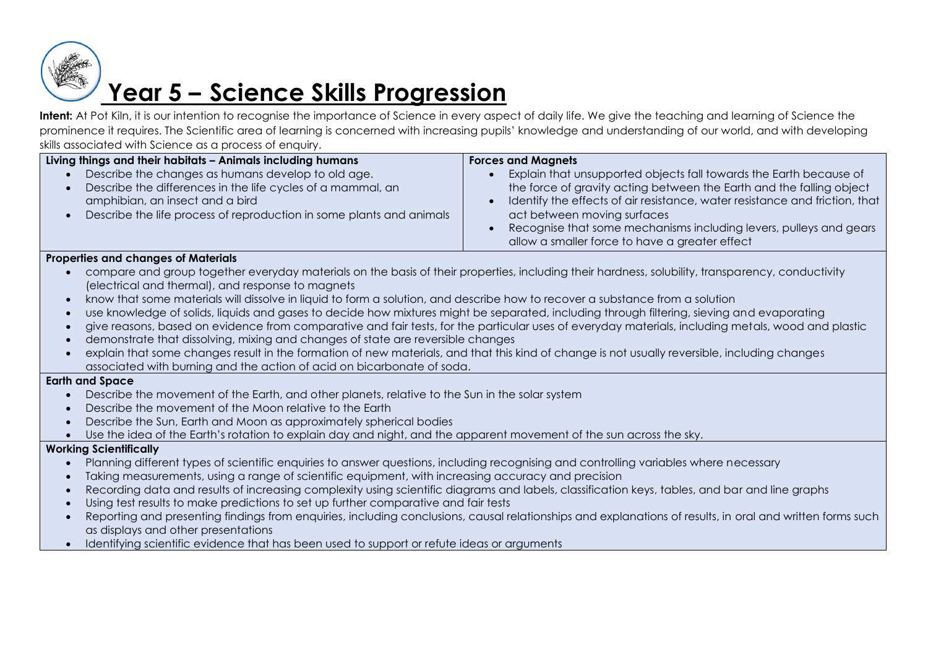

### **Year 5 – Science Skills Progression**

Intent: At Pot Kiln, it is our intention to recognise the importance of Science in every aspect of daily life. We give the teaching and learning of Science the prominence it requires. The Scientific area of learning is concerned with increasing pupils' knowledge and understanding of our world, and with developing skills associated with Science as a process of enquiry.

| Living things and their habitats - Animals including humans                                                                                                                                                                                            | <b>Forces and Magnets</b>                                                                                                                                                                                                                                                                                                                                                        |
|--------------------------------------------------------------------------------------------------------------------------------------------------------------------------------------------------------------------------------------------------------|----------------------------------------------------------------------------------------------------------------------------------------------------------------------------------------------------------------------------------------------------------------------------------------------------------------------------------------------------------------------------------|
| Describe the changes as humans develop to old age.<br>Describe the differences in the life cycles of a mammal, an<br>$\bullet$<br>amphibian, an insect and a bird<br>Describe the life process of reproduction in some plants and animals<br>$\bullet$ | Explain that unsupported objects fall towards the Earth because of<br>the force of gravity acting between the Earth and the falling object<br>Identify the effects of air resistance, water resistance and friction, that<br>act between moving surfaces<br>Recognise that some mechanisms including levers, pulleys and gears<br>allow a smaller force to have a greater effect |
| <b>Properties and changes of Materials</b>                                                                                                                                                                                                             |                                                                                                                                                                                                                                                                                                                                                                                  |
| compare and group together everyday materials on the basis of their properties, including their hardness, solubility, transparency, conductivity                                                                                                       |                                                                                                                                                                                                                                                                                                                                                                                  |
| (electrical and thermal), and response to magnets                                                                                                                                                                                                      |                                                                                                                                                                                                                                                                                                                                                                                  |
| know that some materials will dissolve in liquid to form a solution, and describe how to recover a substance from a solution<br>$\bullet$                                                                                                              |                                                                                                                                                                                                                                                                                                                                                                                  |
| use knowledge of solids, liquids and gases to decide how mixtures might be separated, including through filtering, sieving and evaporating<br>$\bullet$                                                                                                |                                                                                                                                                                                                                                                                                                                                                                                  |
| give reasons, based on evidence from comparative and fair tests, for the particular uses of everyday materials, including metals, wood and plastic<br>$\bullet$                                                                                        |                                                                                                                                                                                                                                                                                                                                                                                  |
| demonstrate that dissolving, mixing and changes of state are reversible changes<br>$\bullet$                                                                                                                                                           |                                                                                                                                                                                                                                                                                                                                                                                  |
| explain that some changes result in the formation of new materials, and that this kind of change is not usually reversible, including changes<br>$\bullet$                                                                                             |                                                                                                                                                                                                                                                                                                                                                                                  |
| associated with burning and the action of acid on bicarbonate of soda.                                                                                                                                                                                 |                                                                                                                                                                                                                                                                                                                                                                                  |
| <b>Earth and Space</b>                                                                                                                                                                                                                                 |                                                                                                                                                                                                                                                                                                                                                                                  |
| Describe the movement of the Earth, and other planets, relative to the Sun in the solar system<br>$\bullet$                                                                                                                                            |                                                                                                                                                                                                                                                                                                                                                                                  |
| Describe the movement of the Moon relative to the Earth<br>$\bullet$                                                                                                                                                                                   |                                                                                                                                                                                                                                                                                                                                                                                  |
| Describe the Sun, Earth and Moon as approximately spherical bodies<br>$\bullet$                                                                                                                                                                        |                                                                                                                                                                                                                                                                                                                                                                                  |
| Use the idea of the Earth's rotation to explain day and night, and the apparent movement of the sun across the sky.<br>$\bullet$                                                                                                                       |                                                                                                                                                                                                                                                                                                                                                                                  |
| <b>Working Scientifically</b>                                                                                                                                                                                                                          |                                                                                                                                                                                                                                                                                                                                                                                  |
| Planning different types of scientific enquiries to answer questions, including recognising and controlling variables where necessary<br>$\bullet$                                                                                                     |                                                                                                                                                                                                                                                                                                                                                                                  |
| Taking measurements, using a range of scientific equipment, with increasing accuracy and precision<br>$\bullet$                                                                                                                                        |                                                                                                                                                                                                                                                                                                                                                                                  |
| Recording data and results of increasing complexity using scientific diagrams and labels, classification keys, tables, and bar and line graphs<br>$\bullet$                                                                                            |                                                                                                                                                                                                                                                                                                                                                                                  |
| Using test results to make predictions to set up further comparative and fair tests<br>$\bullet$                                                                                                                                                       |                                                                                                                                                                                                                                                                                                                                                                                  |
| Reporting and presenting findings from enquiries, including conclusions, causal relationships and explanations of results, in oral and written forms such<br>$\bullet$                                                                                 |                                                                                                                                                                                                                                                                                                                                                                                  |
| as displays and other presentations<br>Identifying scientific evidence that has been used to support or refute ideas or arguments                                                                                                                      |                                                                                                                                                                                                                                                                                                                                                                                  |
| $\bullet$                                                                                                                                                                                                                                              |                                                                                                                                                                                                                                                                                                                                                                                  |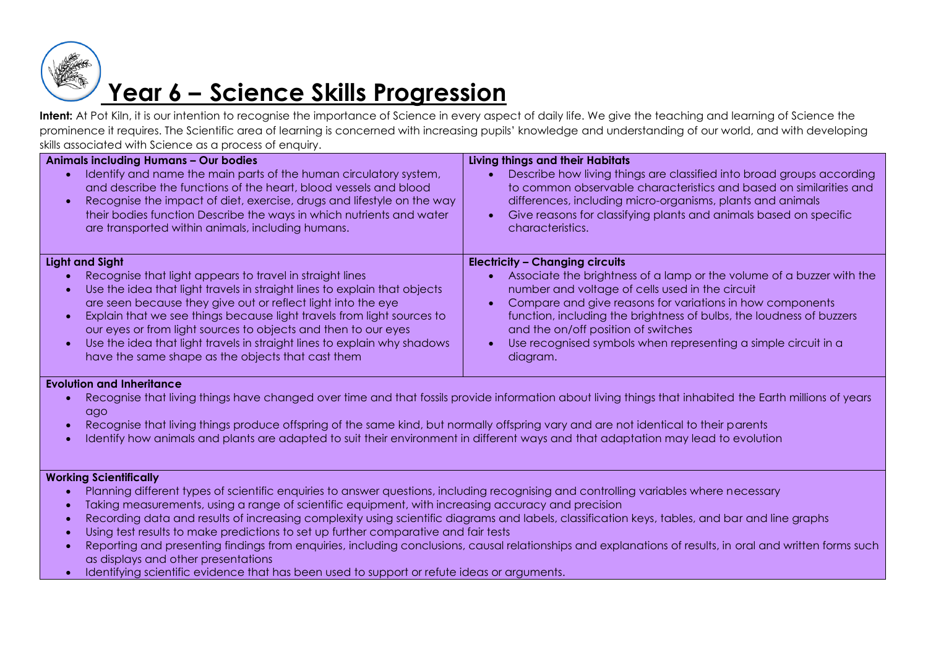

# **Year 6 – Science Skills Progression**

**Intent:** At Pot Kiln, it is our intention to recognise the importance of Science in every aspect of daily life. We give the teaching and learning of Science the prominence it requires. The Scientific area of learning is concerned with increasing pupils' knowledge and understanding of our world, and with developing skills associated with Science as a process of enquiry.

| <b>Animals including Humans - Our bodies</b><br>Identify and name the main parts of the human circulatory system,<br>and describe the functions of the heart, blood vessels and blood<br>Recognise the impact of diet, exercise, drugs and lifestyle on the way<br>$\bullet$<br>their bodies function Describe the ways in which nutrients and water<br>are transported within animals, including humans.                                                                                                                                           | Living things and their Habitats<br>Describe how living things are classified into broad groups according<br>to common observable characteristics and based on similarities and<br>differences, including micro-organisms, plants and animals<br>Give reasons for classifying plants and animals based on specific<br>characteristics.                                                                                       |
|-----------------------------------------------------------------------------------------------------------------------------------------------------------------------------------------------------------------------------------------------------------------------------------------------------------------------------------------------------------------------------------------------------------------------------------------------------------------------------------------------------------------------------------------------------|------------------------------------------------------------------------------------------------------------------------------------------------------------------------------------------------------------------------------------------------------------------------------------------------------------------------------------------------------------------------------------------------------------------------------|
| <b>Light and Sight</b><br>Recognise that light appears to travel in straight lines<br>Use the idea that light travels in straight lines to explain that objects<br>$\bullet$<br>are seen because they give out or reflect light into the eye<br>Explain that we see things because light travels from light sources to<br>$\bullet$<br>our eyes or from light sources to objects and then to our eyes<br>Use the idea that light travels in straight lines to explain why shadows<br>$\bullet$<br>have the same shape as the objects that cast them | <b>Electricity - Changing circuits</b><br>Associate the brightness of a lamp or the volume of a buzzer with the<br>number and voltage of cells used in the circuit<br>Compare and give reasons for variations in how components<br>function, including the brightness of bulbs, the loudness of buzzers<br>and the on/off position of switches<br>Use recognised symbols when representing a simple circuit in a<br>diagram. |

#### **Evolution and Inheritance**

- Recognise that living things have changed over time and that fossils provide information about living things that inhabited the Earth millions of years ago
- Recognise that living things produce offspring of the same kind, but normally offspring vary and are not identical to their parents
- Identify how animals and plants are adapted to suit their environment in different ways and that adaptation may lead to evolution

#### **Working Scientifically**

- Planning different types of scientific enquiries to answer questions, including recognising and controlling variables where necessary
- Taking measurements, using a range of scientific equipment, with increasing accuracy and precision
- Recording data and results of increasing complexity using scientific diagrams and labels, classification keys, tables, and bar and line graphs
- Using test results to make predictions to set up further comparative and fair tests
- Reporting and presenting findings from enquiries, including conclusions, causal relationships and explanations of results, in oral and written forms such as displays and other presentations
- Identifying scientific evidence that has been used to support or refute ideas or arguments.